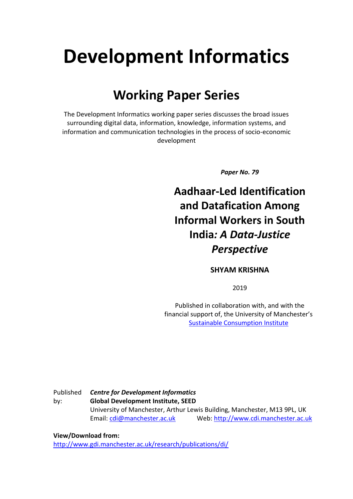# **Development Informatics**

## **Working Paper Series**

The Development Informatics working paper series discusses the broad issues surrounding digital data, information, knowledge, information systems, and information and communication technologies in the process of socio-economic development

*Paper No. 79*

**Aadhaar-Led Identification and Datafication Among Informal Workers in South India***: A Data-Justice Perspective*

#### **SHYAM KRISHNA**

2019

Published in collaboration with, and with the financial support of, the University of Manchester's [Sustainable Consumption Institute](https://www.sci.manchester.ac.uk/)

Published by: *Centre for Development Informatics* **Global Development Institute, SEED** University of Manchester, Arthur Lewis Building, Manchester, M13 9PL, UK Email[: cdi@manchester.ac.uk](mailto:cdi@manchester.ac.uk) Web: [http://www.cdi.manchester.ac.uk](http://www.cdi.manchester.ac.uk/)

#### **View/Download from:**

<http://www.gdi.manchester.ac.uk/research/publications/di/>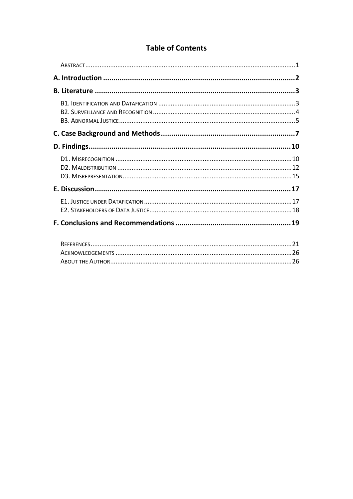#### **Table of Contents**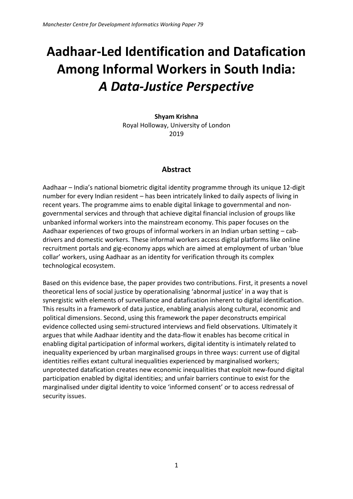## **Aadhaar-Led Identification and Datafication Among Informal Workers in South India:** *A Data-Justice Perspective*

**Shyam Krishna** Royal Holloway, University of London 2019

#### **Abstract**

<span id="page-2-0"></span>Aadhaar – India's national biometric digital identity programme through its unique 12-digit number for every Indian resident – has been intricately linked to daily aspects of living in recent years. The programme aims to enable digital linkage to governmental and nongovernmental services and through that achieve digital financial inclusion of groups like unbanked informal workers into the mainstream economy. This paper focuses on the Aadhaar experiences of two groups of informal workers in an Indian urban setting – cabdrivers and domestic workers. These informal workers access digital platforms like online recruitment portals and gig-economy apps which are aimed at employment of urban 'blue collar' workers, using Aadhaar as an identity for verification through its complex technological ecosystem.

Based on this evidence base, the paper provides two contributions. First, it presents a novel theoretical lens of social justice by operationalising 'abnormal justice' in a way that is synergistic with elements of surveillance and datafication inherent to digital identification. This results in a framework of data justice, enabling analysis along cultural, economic and political dimensions. Second, using this framework the paper deconstructs empirical evidence collected using semi-structured interviews and field observations. Ultimately it argues that while Aadhaar identity and the data-flow it enables has become critical in enabling digital participation of informal workers, digital identity is intimately related to inequality experienced by urban marginalised groups in three ways: current use of digital identities reifies extant cultural inequalities experienced by marginalised workers; unprotected datafication creates new economic inequalities that exploit new-found digital participation enabled by digital identities; and unfair barriers continue to exist for the marginalised under digital identity to voice 'informed consent' or to access redressal of security issues.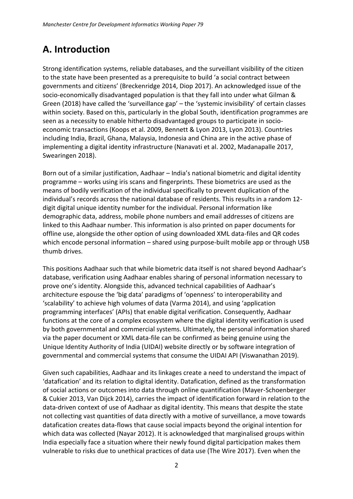## <span id="page-3-0"></span>**A. Introduction**

Strong identification systems, reliable databases, and the surveillant visibility of the citizen to the state have been presented as a prerequisite to build 'a social contract between governments and citizens' (Breckenridge 2014, Diop 2017). An acknowledged issue of the socio-economically disadvantaged population is that they fall into under what Gilman & Green (2018) have called the 'surveillance gap' – the 'systemic invisibility' of certain classes within society. Based on this, particularly in the global South, identification programmes are seen as a necessity to enable hitherto disadvantaged groups to participate in socioeconomic transactions (Koops et al. 2009, Bennett & Lyon 2013, Lyon 2013). Countries including India, Brazil, Ghana, Malaysia, Indonesia and China are in the active phase of implementing a digital identity infrastructure (Nanavati et al. 2002, Madanapalle 2017, Swearingen 2018).

Born out of a similar justification, Aadhaar – India's national biometric and digital identity programme – works using iris scans and fingerprints. These biometrics are used as the means of bodily verification of the individual specifically to prevent duplication of the individual's records across the national database of residents. This results in a random 12 digit digital unique identity number for the individual. Personal information like demographic data, address, mobile phone numbers and email addresses of citizens are linked to this Aadhaar number. This information is also printed on paper documents for offline use, alongside the other option of using downloaded XML data-files and QR codes which encode personal information – shared using purpose-built mobile app or through USB thumb drives.

This positions Aadhaar such that while biometric data itself is not shared beyond Aadhaar's database, verification using Aadhaar enables sharing of personal information necessary to prove one's identity. Alongside this, advanced technical capabilities of Aadhaar's architecture espouse the 'big data' paradigms of 'openness' to interoperability and 'scalability' to achieve high volumes of data (Varma 2014), and using 'application programming interfaces' (APIs) that enable digital verification. Consequently, Aadhaar functions at the core of a complex ecosystem where the digital identity verification is used by both governmental and commercial systems. Ultimately, the personal information shared via the paper document or XML data-file can be confirmed as being genuine using the Unique Identity Authority of India (UIDAI) website directly or by software integration of governmental and commercial systems that consume the UIDAI API (Viswanathan 2019).

Given such capabilities, Aadhaar and its linkages create a need to understand the impact of 'datafication' and its relation to digital identity. Datafication, defined as the transformation of social actions or outcomes into data through online quantification (Mayer-Schoenberger & Cukier 2013, Van Dijck 2014), carries the impact of identification forward in relation to the data-driven context of use of Aadhaar as digital identity. This means that despite the state not collecting vast quantities of data directly with a motive of surveillance, a move towards datafication creates data-flows that cause social impacts beyond the original intention for which data was collected (Nayar 2012). It is acknowledged that marginalised groups within India especially face a situation where their newly found digital participation makes them vulnerable to risks due to unethical practices of data use (The Wire 2017). Even when the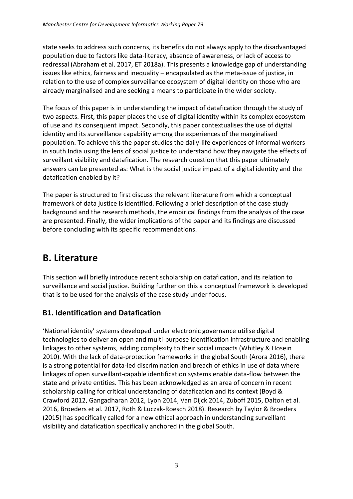state seeks to address such concerns, its benefits do not always apply to the disadvantaged population due to factors like data-literacy, absence of awareness, or lack of access to redressal (Abraham et al. 2017, ET 2018a). This presents a knowledge gap of understanding issues like ethics, fairness and inequality – encapsulated as the meta-issue of justice, in relation to the use of complex surveillance ecosystem of digital identity on those who are already marginalised and are seeking a means to participate in the wider society.

The focus of this paper is in understanding the impact of datafication through the study of two aspects. First, this paper places the use of digital identity within its complex ecosystem of use and its consequent impact. Secondly, this paper contextualises the use of digital identity and its surveillance capability among the experiences of the marginalised population. To achieve this the paper studies the daily-life experiences of informal workers in south India using the lens of social justice to understand how they navigate the effects of surveillant visibility and datafication. The research question that this paper ultimately answers can be presented as: What is the social justice impact of a digital identity and the datafication enabled by it?

The paper is structured to first discuss the relevant literature from which a conceptual framework of data justice is identified. Following a brief description of the case study background and the research methods, the empirical findings from the analysis of the case are presented. Finally, the wider implications of the paper and its findings are discussed before concluding with its specific recommendations.

## <span id="page-4-0"></span>**B. Literature**

This section will briefly introduce recent scholarship on datafication, and its relation to surveillance and social justice. Building further on this a conceptual framework is developed that is to be used for the analysis of the case study under focus.

#### <span id="page-4-1"></span>**B1. Identification and Datafication**

'National identity' systems developed under electronic governance utilise digital technologies to deliver an open and multi-purpose identification infrastructure and enabling linkages to other systems, adding complexity to their social impacts (Whitley & Hosein 2010). With the lack of data-protection frameworks in the global South (Arora 2016), there is a strong potential for data-led discrimination and breach of ethics in use of data where linkages of open surveillant-capable identification systems enable data-flow between the state and private entities. This has been acknowledged as an area of concern in recent scholarship calling for critical understanding of datafication and its context (Boyd & Crawford 2012, Gangadharan 2012, Lyon 2014, Van Dijck 2014, Zuboff 2015, Dalton et al. 2016, Broeders et al. 2017, Roth & Luczak-Roesch 2018). Research by Taylor & Broeders (2015) has specifically called for a new ethical approach in understanding surveillant visibility and datafication specifically anchored in the global South.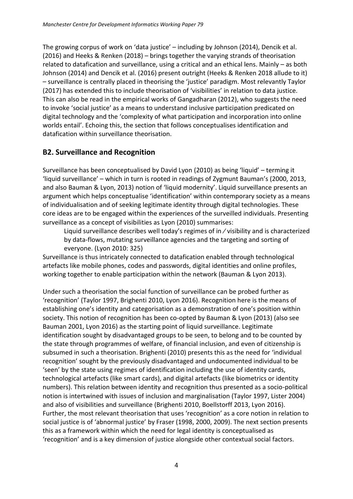The growing corpus of work on 'data justice' – including by Johnson (2014), Dencik et al. (2016) and Heeks & Renken (2018) – brings together the varying strands of theorisation related to datafication and surveillance, using a critical and an ethical lens. Mainly – as both Johnson (2014) and Dencik et al. (2016) present outright (Heeks & Renken 2018 allude to it) – surveillance is centrally placed in theorising the 'justice' paradigm. Most relevantly Taylor (2017) has extended this to include theorisation of 'visibilities' in relation to data justice. This can also be read in the empirical works of Gangadharan (2012), who suggests the need to invoke 'social justice' as a means to understand inclusive participation predicated on digital technology and the 'complexity of what participation and incorporation into online worlds entail'. Echoing this, the section that follows conceptualises identification and datafication within surveillance theorisation.

#### <span id="page-5-0"></span>**B2. Surveillance and Recognition**

Surveillance has been conceptualised by David Lyon (2010) as being 'liquid' – terming it 'liquid surveillance' – which in turn is rooted in readings of Zygmunt Bauman's (2000, 2013, and also Bauman & Lyon, 2013) notion of 'liquid modernity'. Liquid surveillance presents an argument which helps conceptualise 'identification' within contemporary society as a means of individualisation and of seeking legitimate identity through digital technologies. These core ideas are to be engaged within the experiences of the surveilled individuals. Presenting surveillance as a concept of visibilities as Lyon (2010) summarises:

Liquid surveillance describes well today's regimes of in ⁄ visibility and is characterized by data-flows, mutating surveillance agencies and the targeting and sorting of everyone. (Lyon 2010: 325)

Surveillance is thus intricately connected to datafication enabled through technological artefacts like mobile phones, codes and passwords, digital identities and online profiles, working together to enable participation within the network (Bauman & Lyon 2013).

Under such a theorisation the social function of surveillance can be probed further as 'recognition' (Taylor 1997, Brighenti 2010, Lyon 2016). Recognition here is the means of establishing one's identity and categorisation as a demonstration of one's position within society. This notion of recognition has been co-opted by Bauman & Lyon (2013) (also see Bauman 2001, Lyon 2016) as the starting point of liquid surveillance. Legitimate identification sought by disadvantaged groups to be seen, to belong and to be counted by the state through programmes of welfare, of financial inclusion, and even of citizenship is subsumed in such a theorisation. Brighenti (2010) presents this as the need for 'individual recognition' sought by the previously disadvantaged and undocumented individual to be 'seen' by the state using regimes of identification including the use of identity cards, technological artefacts (like smart cards), and digital artefacts (like biometrics or identity numbers). This relation between identity and recognition thus presented as a socio-political notion is intertwined with issues of inclusion and marginalisation (Taylor 1997, Lister 2004) and also of visibilities and surveillance (Brighenti 2010, Boellstorff 2013, Lyon 2016). Further, the most relevant theorisation that uses 'recognition' as a core notion in relation to social justice is of 'abnormal justice' by Fraser (1998, 2000, 2009). The next section presents this as a framework within which the need for legal identity is conceptualised as 'recognition' and is a key dimension of justice alongside other contextual social factors.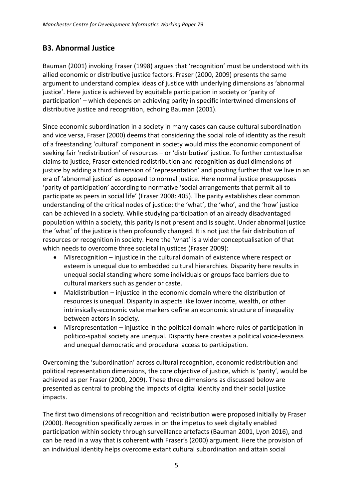#### <span id="page-6-0"></span>**B3. Abnormal Justice**

Bauman (2001) invoking Fraser (1998) argues that 'recognition' must be understood with its allied economic or distributive justice factors. Fraser (2000, 2009) presents the same argument to understand complex ideas of justice with underlying dimensions as 'abnormal justice'. Here justice is achieved by equitable participation in society or 'parity of participation' – which depends on achieving parity in specific intertwined dimensions of distributive justice and recognition, echoing Bauman (2001).

Since economic subordination in a society in many cases can cause cultural subordination and vice versa, Fraser (2000) deems that considering the social role of identity as the result of a freestanding 'cultural' component in society would miss the economic component of seeking fair 'redistribution' of resources – or 'distributive' justice. To further contextualise claims to justice, Fraser extended redistribution and recognition as dual dimensions of justice by adding a third dimension of 'representation' and positing further that we live in an era of 'abnormal justice' as opposed to normal justice. Here normal justice presupposes 'parity of participation' according to normative 'social arrangements that permit all to participate as peers in social life' (Fraser 2008: 405). The parity establishes clear common understanding of the critical nodes of justice: the 'what', the 'who', and the 'how' justice can be achieved in a society. While studying participation of an already disadvantaged population within a society, this parity is not present and is sought. Under abnormal justice the 'what' of the justice is then profoundly changed. It is not just the fair distribution of resources or recognition in society. Here the 'what' is a wider conceptualisation of that which needs to overcome three societal injustices (Fraser 2009):

- Misrecognition injustice in the cultural domain of existence where respect or esteem is unequal due to embedded cultural hierarchies. Disparity here results in unequal social standing where some individuals or groups face barriers due to cultural markers such as gender or caste.
- Maldistribution injustice in the economic domain where the distribution of resources is unequal. Disparity in aspects like lower income, wealth, or other intrinsically-economic value markers define an economic structure of inequality between actors in society.
- Misrepresentation injustice in the political domain where rules of participation in politico-spatial society are unequal. Disparity here creates a political voice-lessness and unequal democratic and procedural access to participation.

Overcoming the 'subordination' across cultural recognition, economic redistribution and political representation dimensions, the core objective of justice, which is 'parity', would be achieved as per Fraser (2000, 2009). These three dimensions as discussed below are presented as central to probing the impacts of digital identity and their social justice impacts.

The first two dimensions of recognition and redistribution were proposed initially by Fraser (2000). Recognition specifically zeroes in on the impetus to seek digitally enabled participation within society through surveillance artefacts (Bauman 2001, Lyon 2016), and can be read in a way that is coherent with Fraser's (2000) argument. Here the provision of an individual identity helps overcome extant cultural subordination and attain social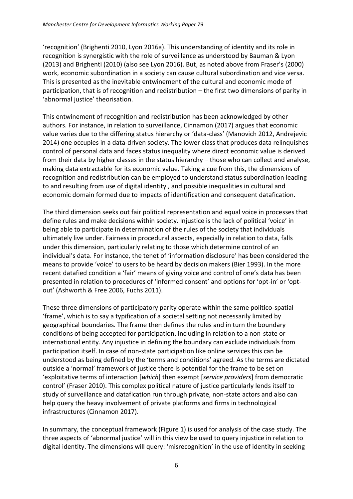'recognition' (Brighenti 2010, Lyon 2016a). This understanding of identity and its role in recognition is synergistic with the role of surveillance as understood by Bauman & Lyon (2013) and Brighenti (2010) (also see Lyon 2016). But, as noted above from Fraser's (2000) work, economic subordination in a society can cause cultural subordination and vice versa. This is presented as the inevitable entwinement of the cultural and economic mode of participation, that is of recognition and redistribution – the first two dimensions of parity in 'abnormal justice' theorisation.

This entwinement of recognition and redistribution has been acknowledged by other authors. For instance, in relation to surveillance, Cinnamon (2017) argues that economic value varies due to the differing status hierarchy or 'data-class' (Manovich 2012, Andrejevic 2014) one occupies in a data-driven society. The lower class that produces data relinquishes control of personal data and faces status inequality where direct economic value is derived from their data by higher classes in the status hierarchy – those who can collect and analyse, making data extractable for its economic value. Taking a cue from this, the dimensions of recognition and redistribution can be employed to understand status subordination leading to and resulting from use of digital identity , and possible inequalities in cultural and economic domain formed due to impacts of identification and consequent datafication.

The third dimension seeks out fair political representation and equal voice in processes that define rules and make decisions within society. Injustice is the lack of political 'voice' in being able to participate in determination of the rules of the society that individuals ultimately live under. Fairness in procedural aspects, especially in relation to data, falls under this dimension, particularly relating to those which determine control of an individual's data. For instance, the tenet of 'information disclosure' has been considered the means to provide 'voice' to users to be heard by decision makers (Bier 1993). In the more recent datafied condition a 'fair' means of giving voice and control of one's data has been presented in relation to procedures of 'informed consent' and options for 'opt-in' or 'optout' (Ashworth & Free 2006, Fuchs 2011).

These three dimensions of participatory parity operate within the same politico-spatial 'frame', which is to say a typification of a societal setting not necessarily limited by geographical boundaries. The frame then defines the rules and in turn the boundary conditions of being accepted for participation, including in relation to a non-state or international entity. Any injustice in defining the boundary can exclude individuals from participation itself. In case of non-state participation like online services this can be understood as being defined by the 'terms and conditions' agreed. As the terms are dictated outside a 'normal' framework of justice there is potential for the frame to be set on 'exploitative terms of interaction [*which*] then exempt [*service providers*] from democratic control' (Fraser 2010). This complex political nature of justice particularly lends itself to study of surveillance and datafication run through private, non-state actors and also can help query the heavy involvement of private platforms and firms in technological infrastructures (Cinnamon 2017).

In summary, the conceptual framework (Figure 1) is used for analysis of the case study. The three aspects of 'abnormal justice' will in this view be used to query injustice in relation to digital identity. The dimensions will query: 'misrecognition' in the use of identity in seeking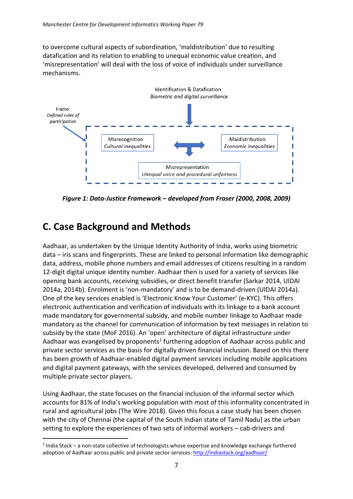to overcome cultural aspects of subordination, 'maldistribution' due to resulting datafication and its relation to enabling to unequal economic value creation, and 'misrepresentation' will deal with the loss of voice of individuals under surveillance mechanisms.



*Figure 1: Data-Justice Framework – developed from Fraser (2000, 2008, 2009)*

## <span id="page-8-0"></span>**C. Case Background and Methods**

<u>.</u>

Aadhaar, as undertaken by the Unique Identity Authority of India, works using biometric data – iris scans and fingerprints. These are linked to personal information like demographic data, address, mobile phone numbers and email addresses of citizens resulting in a random 12-digit digital unique identity number. Aadhaar then is used for a variety of services like opening bank accounts, receiving subsidies, or direct benefit transfer (Sarkar 2014, UIDAI 2014a, 2014b). Enrolment is 'non-mandatory' and is to be demand-driven (UIDAI 2014a). One of the key services enabled is 'Electronic Know Your Customer' (e-KYC). This offers electronic authentication and verification of individuals with its linkage to a bank account made mandatory for governmental subsidy, and mobile number linkage to Aadhaar made mandatory as the channel for communication of information by text messages in relation to subsidy by the state (MoF 2016). An 'open' architecture of digital infrastructure under Aadhaar was evangelised by proponents<sup>1</sup> furthering adoption of Aadhaar across public and private sector services as the basis for digitally driven financial inclusion. Based on this there has been growth of Aadhaar-enabled digital payment services including mobile applications and digital payment gateways, with the services developed, delivered and consumed by multiple private sector players.

Using Aadhaar, the state focuses on the financial inclusion of the informal sector which accounts for 81% of India's working population with most of this informality concentrated in rural and agricultural jobs (The Wire 2018). Given this focus a case study has been chosen with the city of Chennai (the capital of the South Indian state of Tamil Nadu) as the urban setting to explore the experiences of two sets of informal workers – cab-drivers and

<sup>&</sup>lt;sup>1</sup> India Stack – a non-state collective of technologists whose expertise and knowledge exchange furthered adoption of Aadhaar across public and private sector services:<http://indiastack.org/aadhaar/>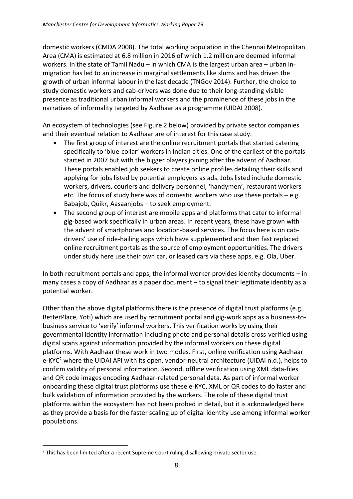domestic workers (CMDA 2008). The total working population in the Chennai Metropolitan Area (CMA) is estimated at 6.8 million in 2016 of which 1.2 million are deemed informal workers. In the state of Tamil Nadu – in which CMA is the largest urban area – urban inmigration has led to an increase in marginal settlements like slums and has driven the growth of urban informal labour in the last decade (TNGov 2014). Further, the choice to study domestic workers and cab-drivers was done due to their long-standing visible presence as traditional urban informal workers and the prominence of these jobs in the narratives of informality targeted by Aadhaar as a programme (UIDAI 2008).

An ecosystem of technologies (see Figure 2 below) provided by private sector companies and their eventual relation to Aadhaar are of interest for this case study.

- The first group of interest are the online recruitment portals that started catering specifically to 'blue-collar' workers in Indian cities. One of the earliest of the portals started in 2007 but with the bigger players joining after the advent of Aadhaar. These portals enabled job seekers to create online profiles detailing their skills and applying for jobs listed by potential employers as ads. Jobs listed include domestic workers, drivers, couriers and delivery personnel, 'handymen', restaurant workers etc. The focus of study here was of domestic workers who use these portals – e.g. Babajob, Quikr, Aasaanjobs – to seek employment.
- The second group of interest are mobile apps and platforms that cater to informal gig-based work specifically in urban areas. In recent years, these have grown with the advent of smartphones and location-based services. The focus here is on cabdrivers' use of ride-hailing apps which have supplemented and then fast replaced online recruitment portals as the source of employment opportunities. The drivers under study here use their own car, or leased cars via these apps, e.g. Ola, Uber.

In both recruitment portals and apps, the informal worker provides identity documents – in many cases a copy of Aadhaar as a paper document – to signal their legitimate identity as a potential worker.

Other than the above digital platforms there is the presence of digital trust platforms (e.g. BetterPlace, Yoti) which are used by recruitment portal and gig-work apps as a business-tobusiness service to 'verify' informal workers. This verification works by using their governmental identity information including photo and personal details cross-verified using digital scans against information provided by the informal workers on these digital platforms. With Aadhaar these work in two modes. First, online verification using Aadhaar e-KYC<sup>2</sup> where the UIDAI API with its open, vendor-neutral architecture (UIDAI n.d.), helps to confirm validity of personal information. Second, offline verification using XML data-files and QR code images encoding Aadhaar-related personal data. As part of informal worker onboarding these digital trust platforms use these e-KYC, XML or QR codes to do faster and bulk validation of information provided by the workers. The role of these digital trust platforms within the ecosystem has not been probed in detail, but it is acknowledged here as they provide a basis for the faster scaling up of digital identity use among informal worker populations.

<sup>1</sup> <sup>2</sup> This has been limited after a recent Supreme Court ruling disallowing private sector use.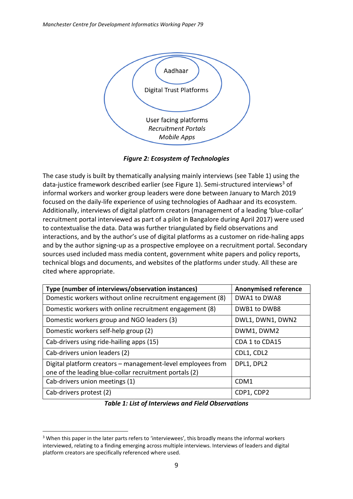

*Figure 2: Ecosystem of Technologies*

The case study is built by thematically analysing mainly interviews (see Table 1) using the data-justice framework described earlier (see Figure 1). Semi-structured interviews<sup>3</sup> of informal workers and worker group leaders were done between January to March 2019 focused on the daily-life experience of using technologies of Aadhaar and its ecosystem. Additionally, interviews of digital platform creators (management of a leading 'blue-collar' recruitment portal interviewed as part of a pilot in Bangalore during April 2017) were used to contextualise the data. Data was further triangulated by field observations and interactions, and by the author's use of digital platforms as a customer on ride-haling apps and by the author signing-up as a prospective employee on a recruitment portal. Secondary sources used included mass media content, government white papers and policy reports, technical blogs and documents, and websites of the platforms under study. All these are cited where appropriate.

| Type (number of interviews/observation instances)                                                                     | <b>Anonymised reference</b> |
|-----------------------------------------------------------------------------------------------------------------------|-----------------------------|
| Domestic workers without online recruitment engagement (8)                                                            | DWA1 to DWA8                |
| Domestic workers with online recruitment engagement (8)                                                               | DWB1 to DWB8                |
| Domestic workers group and NGO leaders (3)                                                                            | DWL1, DWN1, DWN2            |
| Domestic workers self-help group (2)                                                                                  | DWM1, DWM2                  |
| Cab-drivers using ride-hailing apps (15)                                                                              | CDA 1 to CDA15              |
| Cab-drivers union leaders (2)                                                                                         | CDL1, CDL2                  |
| Digital platform creators - management-level employees from<br>one of the leading blue-collar recruitment portals (2) | DPL1, DPL2                  |
| Cab-drivers union meetings (1)                                                                                        | CDM1                        |
| Cab-drivers protest (2)                                                                                               | CDP1, CDP2                  |

*Table 1: List of Interviews and Field Observations*

<sup>1</sup> <sup>3</sup> When this paper in the later parts refers to 'interviewees', this broadly means the informal workers interviewed, relating to a finding emerging across multiple interviews. Interviews of leaders and digital platform creators are specifically referenced where used.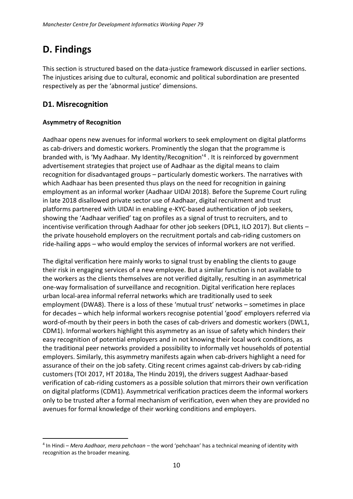## <span id="page-11-0"></span>**D. Findings**

This section is structured based on the data-justice framework discussed in earlier sections. The injustices arising due to cultural, economic and political subordination are presented respectively as per the 'abnormal justice' dimensions.

#### <span id="page-11-1"></span>**D1. Misrecognition**

#### **Asymmetry of Recognition**

Aadhaar opens new avenues for informal workers to seek employment on digital platforms as cab-drivers and domestic workers. Prominently the slogan that the programme is branded with, is 'My Aadhaar. My Identity/Recognition'<sup>4</sup> . It is reinforced by government advertisement strategies that project use of Aadhaar as the digital means to claim recognition for disadvantaged groups – particularly domestic workers. The narratives with which Aadhaar has been presented thus plays on the need for recognition in gaining employment as an informal worker (Aadhaar UIDAI 2018). Before the Supreme Court ruling in late 2018 disallowed private sector use of Aadhaar, digital recruitment and trust platforms partnered with UIDAI in enabling e-KYC-based authentication of job seekers, showing the 'Aadhaar verified' tag on profiles as a signal of trust to recruiters, and to incentivise verification through Aadhaar for other job seekers (DPL1, ILO 2017). But clients – the private household employers on the recruitment portals and cab-riding customers on ride-hailing apps – who would employ the services of informal workers are not verified.

The digital verification here mainly works to signal trust by enabling the clients to gauge their risk in engaging services of a new employee. But a similar function is not available to the workers as the clients themselves are not verified digitally, resulting in an asymmetrical one-way formalisation of surveillance and recognition. Digital verification here replaces urban local-area informal referral networks which are traditionally used to seek employment (DWA8). There is a loss of these 'mutual trust' networks – sometimes in place for decades – which help informal workers recognise potential 'good' employers referred via word-of-mouth by their peers in both the cases of cab-drivers and domestic workers (DWL1, CDM1). Informal workers highlight this asymmetry as an issue of safety which hinders their easy recognition of potential employers and in not knowing their local work conditions, as the traditional peer networks provided a possibility to informally vet households of potential employers. Similarly, this asymmetry manifests again when cab-drivers highlight a need for assurance of their on the job safety. Citing recent crimes against cab-drivers by cab-riding customers (TOI 2017, HT 2018a, The Hindu 2019), the drivers suggest Aadhaar-based verification of cab-riding customers as a possible solution that mirrors their own verification on digital platforms (CDM1). Asymmetrical verification practices deem the informal workers only to be trusted after a formal mechanism of verification, even when they are provided no avenues for formal knowledge of their working conditions and employers.

<sup>&</sup>lt;u>.</u> 4 In Hindi – *Mera Aadhaar, mera pehchaan* – the word 'pehchaan' has a technical meaning of identity with recognition as the broader meaning.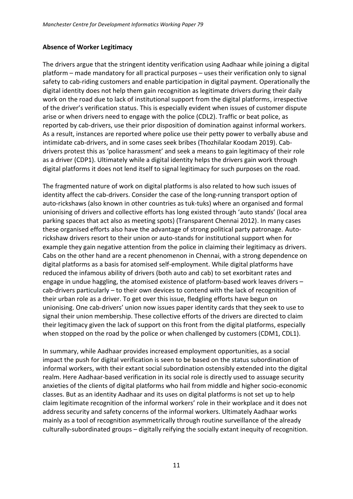#### **Absence of Worker Legitimacy**

The drivers argue that the stringent identity verification using Aadhaar while joining a digital platform – made mandatory for all practical purposes – uses their verification only to signal safety to cab-riding customers and enable participation in digital payment. Operationally the digital identity does not help them gain recognition as legitimate drivers during their daily work on the road due to lack of institutional support from the digital platforms, irrespective of the driver's verification status. This is especially evident when issues of customer dispute arise or when drivers need to engage with the police (CDL2). Traffic or beat police, as reported by cab-drivers, use their prior disposition of domination against informal workers. As a result, instances are reported where police use their petty power to verbally abuse and intimidate cab-drivers, and in some cases seek bribes (Thozhilalar Koodam 2019). Cabdrivers protest this as 'police harassment' and seek a means to gain legitimacy of their role as a driver (CDP1). Ultimately while a digital identity helps the drivers gain work through digital platforms it does not lend itself to signal legitimacy for such purposes on the road.

The fragmented nature of work on digital platforms is also related to how such issues of identity affect the cab-drivers. Consider the case of the long-running transport option of auto-rickshaws (also known in other countries as tuk-tuks) where an organised and formal unionising of drivers and collective efforts has long existed through 'auto stands' (local area parking spaces that act also as meeting spots) (Transparent Chennai 2012). In many cases these organised efforts also have the advantage of strong political party patronage. Autorickshaw drivers resort to their union or auto-stands for institutional support when for example they gain negative attention from the police in claiming their legitimacy as drivers. Cabs on the other hand are a recent phenomenon in Chennai, with a strong dependence on digital platforms as a basis for atomised self-employment. While digital platforms have reduced the infamous ability of drivers (both auto and cab) to set exorbitant rates and engage in undue haggling, the atomised existence of platform-based work leaves drivers – cab-drivers particularly – to their own devices to contend with the lack of recognition of their urban role as a driver. To get over this issue, fledgling efforts have begun on unionising. One cab-drivers' union now issues paper identity cards that they seek to use to signal their union membership. These collective efforts of the drivers are directed to claim their legitimacy given the lack of support on this front from the digital platforms, especially when stopped on the road by the police or when challenged by customers (CDM1, CDL1).

In summary, while Aadhaar provides increased employment opportunities, as a social impact the push for digital verification is seen to be based on the status subordination of informal workers, with their extant social subordination ostensibly extended into the digital realm. Here Aadhaar-based verification in its social role is directly used to assuage security anxieties of the clients of digital platforms who hail from middle and higher socio-economic classes. But as an identity Aadhaar and its uses on digital platforms is not set up to help claim legitimate recognition of the informal workers' role in their workplace and it does not address security and safety concerns of the informal workers. Ultimately Aadhaar works mainly as a tool of recognition asymmetrically through routine surveillance of the already culturally-subordinated groups – digitally reifying the socially extant inequity of recognition.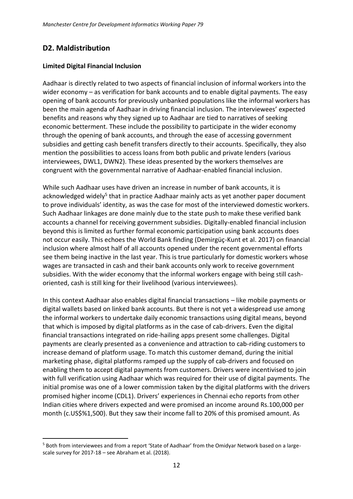#### <span id="page-13-0"></span>**D2. Maldistribution**

<u>.</u>

#### **Limited Digital Financial Inclusion**

Aadhaar is directly related to two aspects of financial inclusion of informal workers into the wider economy – as verification for bank accounts and to enable digital payments. The easy opening of bank accounts for previously unbanked populations like the informal workers has been the main agenda of Aadhaar in driving financial inclusion. The interviewees' expected benefits and reasons why they signed up to Aadhaar are tied to narratives of seeking economic betterment. These include the possibility to participate in the wider economy through the opening of bank accounts, and through the ease of accessing government subsidies and getting cash benefit transfers directly to their accounts. Specifically, they also mention the possibilities to access loans from both public and private lenders (various interviewees, DWL1, DWN2). These ideas presented by the workers themselves are congruent with the governmental narrative of Aadhaar-enabled financial inclusion.

While such Aadhaar uses have driven an increase in number of bank accounts, it is acknowledged widely<sup>5</sup> that in practice Aadhaar mainly acts as yet another paper document to prove individuals' identity, as was the case for most of the interviewed domestic workers. Such Aadhaar linkages are done mainly due to the state push to make these verified bank accounts a channel for receiving government subsidies. Digitally-enabled financial inclusion beyond this is limited as further formal economic participation using bank accounts does not occur easily. This echoes the World Bank finding (Demirgüç-Kunt et al. 2017) on financial inclusion where almost half of all accounts opened under the recent governmental efforts see them being inactive in the last year. This is true particularly for domestic workers whose wages are transacted in cash and their bank accounts only work to receive government subsidies. With the wider economy that the informal workers engage with being still cashoriented, cash is still king for their livelihood (various interviewees).

In this context Aadhaar also enables digital financial transactions – like mobile payments or digital wallets based on linked bank accounts. But there is not yet a widespread use among the informal workers to undertake daily economic transactions using digital means, beyond that which is imposed by digital platforms as in the case of cab-drivers. Even the digital financial transactions integrated on ride-hailing apps present some challenges. Digital payments are clearly presented as a convenience and attraction to cab-riding customers to increase demand of platform usage. To match this customer demand, during the initial marketing phase, digital platforms ramped up the supply of cab-drivers and focused on enabling them to accept digital payments from customers. Drivers were incentivised to join with full verification using Aadhaar which was required for their use of digital payments. The initial promise was one of a lower commission taken by the digital platforms with the drivers promised higher income (CDL1). Drivers' experiences in Chennai echo reports from other Indian cities where drivers expected and were promised an income around Rs.100,000 per month (c.US\$%1,500). But they saw their income fall to 20% of this promised amount. As

<sup>5</sup> Both from interviewees and from a report 'State of Aadhaar' from the Omidyar Network based on a largescale survey for 2017-18 – see Abraham et al. (2018).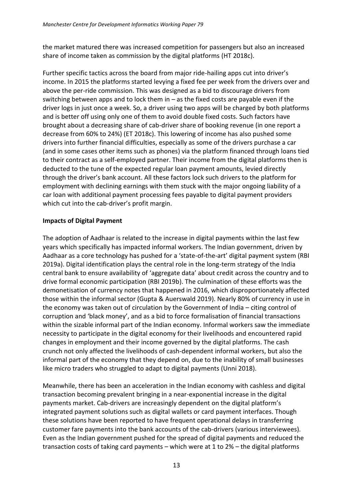the market matured there was increased competition for passengers but also an increased share of income taken as commission by the digital platforms (HT 2018c).

Further specific tactics across the board from major ride-hailing apps cut into driver's income. In 2015 the platforms started levying a fixed fee per week from the drivers over and above the per-ride commission. This was designed as a bid to discourage drivers from switching between apps and to lock them in – as the fixed costs are payable even if the driver logs in just once a week. So, a driver using two apps will be charged by both platforms and is better off using only one of them to avoid double fixed costs. Such factors have brought about a decreasing share of cab-driver share of booking revenue (in one report a decrease from 60% to 24%) (ET 2018c). This lowering of income has also pushed some drivers into further financial difficulties, especially as some of the drivers purchase a car (and in some cases other items such as phones) via the platform financed through loans tied to their contract as a self-employed partner. Their income from the digital platforms then is deducted to the tune of the expected regular loan payment amounts, levied directly through the driver's bank account. All these factors lock such drivers to the platform for employment with declining earnings with them stuck with the major ongoing liability of a car loan with additional payment processing fees payable to digital payment providers which cut into the cab-driver's profit margin.

#### **Impacts of Digital Payment**

The adoption of Aadhaar is related to the increase in digital payments within the last few years which specifically has impacted informal workers. The Indian government, driven by Aadhaar as a core technology has pushed for a 'state-of-the-art' digital payment system (RBI 2019a). Digital identification plays the central role in the long-term strategy of the India central bank to ensure availability of 'aggregate data' about credit across the country and to drive formal economic participation (RBI 2019b). The culmination of these efforts was the demonetisation of currency notes that happened in 2016, which disproportionately affected those within the informal sector (Gupta & Auerswald 2019). Nearly 80% of currency in use in the economy was taken out of circulation by the Government of India – citing control of corruption and 'black money', and as a bid to force formalisation of financial transactions within the sizable informal part of the Indian economy. Informal workers saw the immediate necessity to participate in the digital economy for their livelihoods and encountered rapid changes in employment and their income governed by the digital platforms. The cash crunch not only affected the livelihoods of cash-dependent informal workers, but also the informal part of the economy that they depend on, due to the inability of small businesses like micro traders who struggled to adapt to digital payments (Unni 2018).

Meanwhile, there has been an acceleration in the Indian economy with cashless and digital transaction becoming prevalent bringing in a near-exponential increase in the digital payments market. Cab-drivers are increasingly dependent on the digital platform's integrated payment solutions such as digital wallets or card payment interfaces. Though these solutions have been reported to have frequent operational delays in transferring customer fare payments into the bank accounts of the cab-drivers (various interviewees). Even as the Indian government pushed for the spread of digital payments and reduced the transaction costs of taking card payments – which were at 1 to 2% – the digital platforms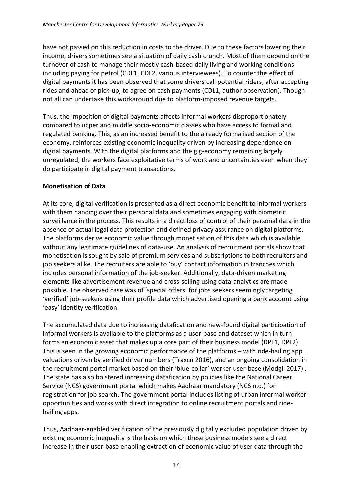have not passed on this reduction in costs to the driver. Due to these factors lowering their income, drivers sometimes see a situation of daily cash crunch. Most of them depend on the turnover of cash to manage their mostly cash-based daily living and working conditions including paying for petrol (CDL1, CDL2, various interviewees). To counter this effect of digital payments it has been observed that some drivers call potential riders, after accepting rides and ahead of pick-up, to agree on cash payments (CDL1, author observation). Though not all can undertake this workaround due to platform-imposed revenue targets.

Thus, the imposition of digital payments affects informal workers disproportionately compared to upper and middle socio-economic classes who have access to formal and regulated banking. This, as an increased benefit to the already formalised section of the economy, reinforces existing economic inequality driven by increasing dependence on digital payments. With the digital platforms and the gig-economy remaining largely unregulated, the workers face exploitative terms of work and uncertainties even when they do participate in digital payment transactions.

#### **Monetisation of Data**

At its core, digital verification is presented as a direct economic benefit to informal workers with them handing over their personal data and sometimes engaging with biometric surveillance in the process. This results in a direct loss of control of their personal data in the absence of actual legal data protection and defined privacy assurance on digital platforms. The platforms derive economic value through monetisation of this data which is available without any legitimate guidelines of data-use. An analysis of recruitment portals show that monetisation is sought by sale of premium services and subscriptions to both recruiters and job seekers alike. The recruiters are able to 'buy' contact information in tranches which includes personal information of the job-seeker. Additionally, data-driven marketing elements like advertisement revenue and cross-selling using data-analytics are made possible. The observed case was of 'special offers' for jobs seekers seemingly targeting 'verified' job-seekers using their profile data which advertised opening a bank account using 'easy' identity verification.

The accumulated data due to increasing datafication and new-found digital participation of informal workers is available to the platforms as a user-base and dataset which in turn forms an economic asset that makes up a core part of their business model (DPL1, DPL2). This is seen in the growing economic performance of the platforms – with ride-hailing app valuations driven by verified driver numbers (Traxcn 2016), and an ongoing consolidation in the recruitment portal market based on their 'blue-collar' worker user-base (Modgil 2017) . The state has also bolstered increasing datafication by policies like the National Career Service (NCS) government portal which makes Aadhaar mandatory (NCS n.d.) for registration for job search. The government portal includes listing of urban informal worker opportunities and works with direct integration to online recruitment portals and ridehailing apps.

Thus, Aadhaar-enabled verification of the previously digitally excluded population driven by existing economic inequality is the basis on which these business models see a direct increase in their user-base enabling extraction of economic value of user data through the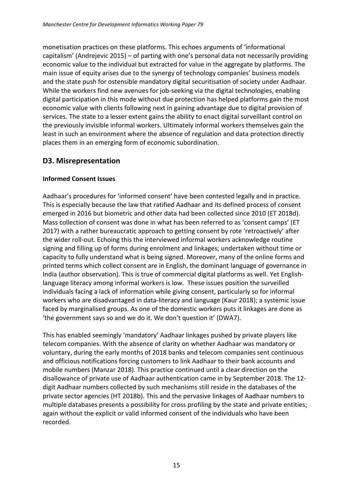monetisation practices on these platforms. This echoes arguments of 'informational capitalism' (Andrejevic 2015) – of parting with one's personal data not necessarily providing economic value to the individual but extracted for value in the aggregate by platforms. The main issue of equity arises due to the synergy of technology companies' business models and the state push for ostensible mandatory digital securitisation of society under Aadhaar. While the workers find new avenues for job-seeking via the digital technologies, enabling digital participation in this mode without due protection has helped platforms gain the most economic value with clients following next in gaining advantage due to digital provision of services. The state to a lesser extent gains the ability to enact digital surveillant control on the previously invisible informal workers. Ultimately informal workers themselves gain the least in such an environment where the absence of regulation and data protection directly places them in an emerging form of economic subordination.

#### <span id="page-16-0"></span>**D3. Misrepresentation**

#### **Informed Consent Issues**

Aadhaar's procedures for 'informed consent' have been contested legally and in practice. This is especially because the law that ratified Aadhaar and its defined process of consent emerged in 2016 but biometric and other data had been collected since 2010 (ET 2018d). Mass collection of consent was done in what has been referred to as 'consent camps' (ET 2017) with a rather bureaucratic approach to getting consent by rote 'retroactively' after the wider roll-out. Echoing this the interviewed informal workers acknowledge routine signing and filling up of forms during enrolment and linkages; undertaken without time or capacity to fully understand what is being signed. Moreover, many of the online forms and printed terms which collect consent are in English, the dominant language of governance in India (author observation). This is true of commercial digital platforms as well. Yet Englishlanguage literacy among informal workers is low. These issues position the surveilled individuals facing a lack of information while giving consent, particularly so for informal workers who are disadvantaged in data-literacy and language (Kaur 2018); a systemic issue faced by marginalised groups. As one of the domestic workers puts it linkages are done as 'the government says so and we do it. We don't question it' (DWA7).

This has enabled seemingly 'mandatory' Aadhaar linkages pushed by private players like telecom companies. With the absence of clarity on whether Aadhaar was mandatory or voluntary, during the early months of 2018 banks and telecom companies sent continuous and officious notifications forcing customers to link Aadhaar to their bank accounts and mobile numbers (Manzar 2018). This practice continued until a clear direction on the disallowance of private use of Aadhaar authentication came in by September 2018. The 12 digit Aadhaar numbers collected by such mechanisms still reside in the databases of the private sector agencies (HT 2018b). This and the pervasive linkages of Aadhaar numbers to multiple databases presents a possibility for cross profiling by the state and private entities; again without the explicit or valid informed consent of the individuals who have been recorded.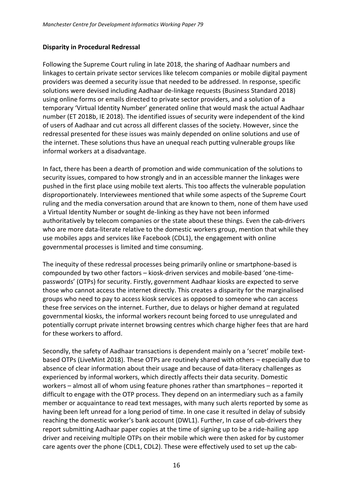#### **Disparity in Procedural Redressal**

Following the Supreme Court ruling in late 2018, the sharing of Aadhaar numbers and linkages to certain private sector services like telecom companies or mobile digital payment providers was deemed a security issue that needed to be addressed. In response, specific solutions were devised including Aadhaar de-linkage requests (Business Standard 2018) using online forms or emails directed to private sector providers, and a solution of a temporary 'Virtual Identity Number' generated online that would mask the actual Aadhaar number (ET 2018b, IE 2018). The identified issues of security were independent of the kind of users of Aadhaar and cut across all different classes of the society. However, since the redressal presented for these issues was mainly depended on online solutions and use of the internet. These solutions thus have an unequal reach putting vulnerable groups like informal workers at a disadvantage.

In fact, there has been a dearth of promotion and wide communication of the solutions to security issues, compared to how strongly and in an accessible manner the linkages were pushed in the first place using mobile text alerts. This too affects the vulnerable population disproportionately. Interviewees mentioned that while some aspects of the Supreme Court ruling and the media conversation around that are known to them, none of them have used a Virtual Identity Number or sought de-linking as they have not been informed authoritatively by telecom companies or the state about these things. Even the cab-drivers who are more data-literate relative to the domestic workers group, mention that while they use mobiles apps and services like Facebook (CDL1), the engagement with online governmental processes is limited and time consuming.

The inequity of these redressal processes being primarily online or smartphone-based is compounded by two other factors – kiosk-driven services and mobile-based 'one-timepasswords' (OTPs) for security. Firstly, government Aadhaar kiosks are expected to serve those who cannot access the internet directly. This creates a disparity for the marginalised groups who need to pay to access kiosk services as opposed to someone who can access these free services on the internet. Further, due to delays or higher demand at regulated governmental kiosks, the informal workers recount being forced to use unregulated and potentially corrupt private internet browsing centres which charge higher fees that are hard for these workers to afford.

Secondly, the safety of Aadhaar transactions is dependent mainly on a 'secret' mobile textbased OTPs (LiveMint 2018). These OTPs are routinely shared with others – especially due to absence of clear information about their usage and because of data-literacy challenges as experienced by informal workers, which directly affects their data security. Domestic workers – almost all of whom using feature phones rather than smartphones – reported it difficult to engage with the OTP process. They depend on an intermediary such as a family member or acquaintance to read text messages, with many such alerts reported by some as having been left unread for a long period of time. In one case it resulted in delay of subsidy reaching the domestic worker's bank account (DWL1). Further, In case of cab-drivers they report submitting Aadhaar paper copies at the time of signing up to be a ride-hailing app driver and receiving multiple OTPs on their mobile which were then asked for by customer care agents over the phone (CDL1, CDL2). These were effectively used to set up the cab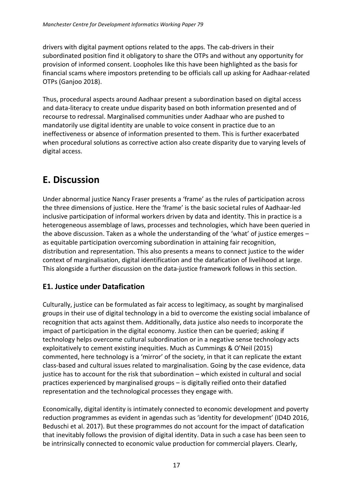drivers with digital payment options related to the apps. The cab-drivers in their subordinated position find it obligatory to share the OTPs and without any opportunity for provision of informed consent. Loopholes like this have been highlighted as the basis for financial scams where impostors pretending to be officials call up asking for Aadhaar-related OTPs (Ganjoo 2018).

Thus, procedural aspects around Aadhaar present a subordination based on digital access and data-literacy to create undue disparity based on both information presented and of recourse to redressal. Marginalised communities under Aadhaar who are pushed to mandatorily use digital identity are unable to voice consent in practice due to an ineffectiveness or absence of information presented to them. This is further exacerbated when procedural solutions as corrective action also create disparity due to varying levels of digital access.

## <span id="page-18-0"></span>**E. Discussion**

Under abnormal justice Nancy Fraser presents a 'frame' as the rules of participation across the three dimensions of justice. Here the 'frame' is the basic societal rules of Aadhaar-led inclusive participation of informal workers driven by data and identity. This in practice is a heterogeneous assemblage of laws, processes and technologies, which have been queried in the above discussion. Taken as a whole the understanding of the 'what' of justice emerges – as equitable participation overcoming subordination in attaining fair recognition, distribution and representation. This also presents a means to connect justice to the wider context of marginalisation, digital identification and the datafication of livelihood at large. This alongside a further discussion on the data-justice framework follows in this section.

#### <span id="page-18-1"></span>**E1. Justice under Datafication**

Culturally, justice can be formulated as fair access to legitimacy, as sought by marginalised groups in their use of digital technology in a bid to overcome the existing social imbalance of recognition that acts against them. Additionally, data justice also needs to incorporate the impact of participation in the digital economy. Justice then can be queried; asking if technology helps overcome cultural subordination or in a negative sense technology acts exploitatively to cement existing inequities. Much as Cummings & O'Neil (2015) commented, here technology is a 'mirror' of the society, in that it can replicate the extant class-based and cultural issues related to marginalisation. Going by the case evidence, data justice has to account for the risk that subordination – which existed in cultural and social practices experienced by marginalised groups – is digitally reified onto their datafied representation and the technological processes they engage with.

Economically, digital identity is intimately connected to economic development and poverty reduction programmes as evident in agendas such as 'identity for development' (ID4D 2016, Beduschi et al. 2017). But these programmes do not account for the impact of datafication that inevitably follows the provision of digital identity. Data in such a case has been seen to be intrinsically connected to economic value production for commercial players. Clearly,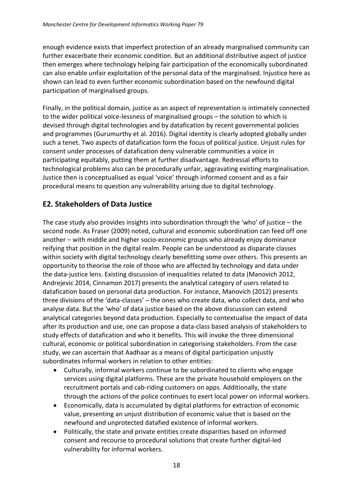enough evidence exists that imperfect protection of an already marginalised community can further exacerbate their economic condition. But an additional distributive aspect of justice then emerges where technology helping fair participation of the economically subordinated can also enable unfair exploitation of the personal data of the marginalised. Injustice here as shown can lead to even further economic subordination based on the newfound digital participation of marginalised groups.

Finally, in the political domain, justice as an aspect of representation is intimately connected to the wider political voice-lessness of marginalised groups – the solution to which is devised through digital technologies and by datafication by recent governmental policies and programmes (Gurumurthy et al. 2016). Digital identity is clearly adopted globally under such a tenet. Two aspects of datafication form the focus of political justice. Unjust rules for consent under processes of datafication deny vulnerable communities a voice in participating equitably, putting them at further disadvantage. Redressal efforts to technological problems also can be procedurally unfair, aggravating existing marginalisation. Justice then is conceptualised as equal 'voice' through informed consent and as a fair procedural means to question any vulnerability arising due to digital technology.

#### <span id="page-19-0"></span>**E2. Stakeholders of Data Justice**

The case study also provides insights into subordination through the 'who' of justice – the second node. As Fraser (2009) noted, cultural and economic subordination can feed off one another – with middle and higher socio-economic groups who already enjoy dominance reifying that position in the digital realm. People can be understood as disparate classes within society with digital technology clearly benefitting some over others. This presents an opportunity to theorise the role of those who are affected by technology and data under the data-justice lens. Existing discussion of inequalities related to data (Manovich 2012, Andrejevic 2014, Cinnamon 2017) presents the analytical category of users related to datafication based on personal data production. For instance, Manovich (2012) presents three divisions of the 'data-classes' – the ones who create data, who collect data, and who analyse data. But the 'who' of data justice based on the above discussion can extend analytical categories beyond data production. Especially to contextualise the impact of data after its production and use, one can propose a data-class based analysis of stakeholders to study effects of datafication and who it benefits. This will invoke the three dimensional cultural, economic or political subordination in categorising stakeholders. From the case study, we can ascertain that Aadhaar as a means of digital participation unjustly subordinates informal workers in relation to other entities:

- Culturally, informal workers continue to be subordinated to clients who engage services using digital platforms. These are the private household employers on the recruitment portals and cab-riding customers on apps. Additionally, the state through the actions of the police continues to exert local power on informal workers.
- Economically, data is accumulated by digital platforms for extraction of economic value, presenting an unjust distribution of economic value that is based on the newfound and unprotected datafied existence of informal workers.
- Politically, the state and private entities create disparities based on informed consent and recourse to procedural solutions that create further digital-led vulnerability for informal workers.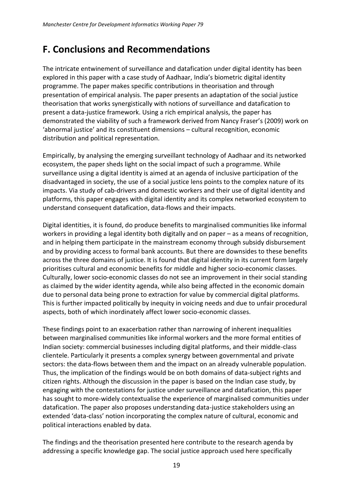### <span id="page-20-0"></span>**F. Conclusions and Recommendations**

The intricate entwinement of surveillance and datafication under digital identity has been explored in this paper with a case study of Aadhaar, India's biometric digital identity programme. The paper makes specific contributions in theorisation and through presentation of empirical analysis. The paper presents an adaptation of the social justice theorisation that works synergistically with notions of surveillance and datafication to present a data-justice framework. Using a rich empirical analysis, the paper has demonstrated the viability of such a framework derived from Nancy Fraser's (2009) work on 'abnormal justice' and its constituent dimensions – cultural recognition, economic distribution and political representation.

Empirically, by analysing the emerging surveillant technology of Aadhaar and its networked ecosystem, the paper sheds light on the social impact of such a programme. While surveillance using a digital identity is aimed at an agenda of inclusive participation of the disadvantaged in society, the use of a social justice lens points to the complex nature of its impacts. Via study of cab-drivers and domestic workers and their use of digital identity and platforms, this paper engages with digital identity and its complex networked ecosystem to understand consequent datafication, data-flows and their impacts.

Digital identities, it is found, do produce benefits to marginalised communities like informal workers in providing a legal identity both digitally and on paper – as a means of recognition, and in helping them participate in the mainstream economy through subsidy disbursement and by providing access to formal bank accounts. But there are downsides to these benefits across the three domains of justice. It is found that digital identity in its current form largely prioritises cultural and economic benefits for middle and higher socio-economic classes. Culturally, lower socio-economic classes do not see an improvement in their social standing as claimed by the wider identity agenda, while also being affected in the economic domain due to personal data being prone to extraction for value by commercial digital platforms. This is further impacted politically by inequity in voicing needs and due to unfair procedural aspects, both of which inordinately affect lower socio-economic classes.

These findings point to an exacerbation rather than narrowing of inherent inequalities between marginalised communities like informal workers and the more formal entities of Indian society: commercial businesses including digital platforms, and their middle-class clientele. Particularly it presents a complex synergy between governmental and private sectors: the data-flows between them and the impact on an already vulnerable population. Thus, the implication of the findings would be on both domains of data-subject rights and citizen rights. Although the discussion in the paper is based on the Indian case study, by engaging with the contestations for justice under surveillance and datafication, this paper has sought to more-widely contextualise the experience of marginalised communities under datafication. The paper also proposes understanding data-justice stakeholders using an extended 'data-class' notion incorporating the complex nature of cultural, economic and political interactions enabled by data.

The findings and the theorisation presented here contribute to the research agenda by addressing a specific knowledge gap. The social justice approach used here specifically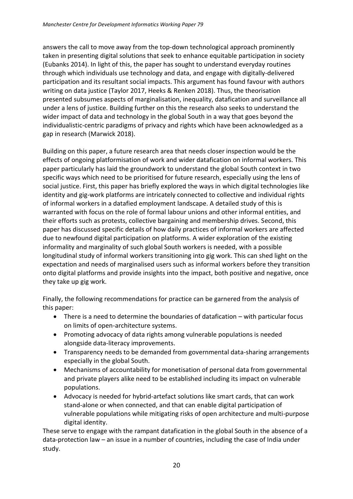answers the call to move away from the top-down technological approach prominently taken in presenting digital solutions that seek to enhance equitable participation in society (Eubanks 2014). In light of this, the paper has sought to understand everyday routines through which individuals use technology and data, and engage with digitally-delivered participation and its resultant social impacts. This argument has found favour with authors writing on data justice (Taylor 2017, Heeks & Renken 2018). Thus, the theorisation presented subsumes aspects of marginalisation, inequality, datafication and surveillance all under a lens of justice. Building further on this the research also seeks to understand the wider impact of data and technology in the global South in a way that goes beyond the individualistic-centric paradigms of privacy and rights which have been acknowledged as a gap in research (Marwick 2018).

Building on this paper, a future research area that needs closer inspection would be the effects of ongoing platformisation of work and wider datafication on informal workers. This paper particularly has laid the groundwork to understand the global South context in two specific ways which need to be prioritised for future research, especially using the lens of social justice. First, this paper has briefly explored the ways in which digital technologies like identity and gig-work platforms are intricately connected to collective and individual rights of informal workers in a datafied employment landscape. A detailed study of this is warranted with focus on the role of formal labour unions and other informal entities, and their efforts such as protests, collective bargaining and membership drives. Second, this paper has discussed specific details of how daily practices of informal workers are affected due to newfound digital participation on platforms. A wider exploration of the existing informality and marginality of such global South workers is needed, with a possible longitudinal study of informal workers transitioning into gig work. This can shed light on the expectation and needs of marginalised users such as informal workers before they transition onto digital platforms and provide insights into the impact, both positive and negative, once they take up gig work.

Finally, the following recommendations for practice can be garnered from the analysis of this paper:

- There is a need to determine the boundaries of datafication with particular focus on limits of open-architecture systems.
- Promoting advocacy of data rights among vulnerable populations is needed alongside data-literacy improvements.
- Transparency needs to be demanded from governmental data-sharing arrangements especially in the global South.
- Mechanisms of accountability for monetisation of personal data from governmental and private players alike need to be established including its impact on vulnerable populations.
- Advocacy is needed for hybrid-artefact solutions like smart cards, that can work stand-alone or when connected, and that can enable digital participation of vulnerable populations while mitigating risks of open architecture and multi-purpose digital identity.

These serve to engage with the rampant datafication in the global South in the absence of a data-protection law – an issue in a number of countries, including the case of India under study.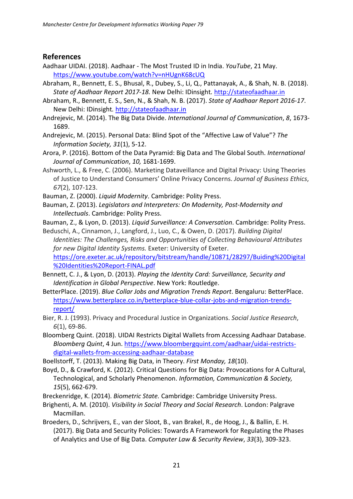#### <span id="page-22-0"></span>**References**

- Aadhaar UIDAI. (2018). Aadhaar The Most Trusted ID in India. *YouTube*, 21 May. <https://www.youtube.com/watch?v=nHUgnK68cUQ>
- Abraham, R., Bennett, E. S., Bhusal, R., Dubey, S., Li, Q., Pattanayak, A., & Shah, N. B. (2018). *State of Aadhaar Report 2017-18.* New Delhi: IDinsight*.* [http://stateofaadhaar.in](http://stateofaadhaar.in/)
- Abraham, R., Bennett, E. S., Sen, N., & Shah, N. B. (2017). *State of Aadhaar Report 2016-17*. New Delhi: IDinsight*.* [http://stateofaadhaar.in](http://stateofaadhaar.in/)
- Andrejevic, M. (2014). The Big Data Divide. *International Journal of Communication*, *8*, 1673- 1689.
- Andrejevic, M. (2015). Personal Data: Blind Spot of the "Affective Law of Value"? *The Information Society, 31*(1), 5-12.
- Arora, P. (2016). Bottom of the Data Pyramid: Big Data and The Global South. *International Journal of Communication*, *10,* 1681-1699.
- Ashworth, L., & Free, C. (2006). Marketing Dataveillance and Digital Privacy: Using Theories of Justice to Understand Consumers' Online Privacy Concerns. *Journal of Business Ethics*, *67*(2), 107-123.
- Bauman, Z. (2000). *Liquid Modernity*. Cambridge: Polity Press.
- Bauman, Z. (2013). *Legislators and Interpreters: On Modernity, Post-Modernity and Intellectuals*. Cambridge: Polity Press.

Bauman, Z., & Lyon, D. (2013). *Liquid Surveillance: A Conversation*. Cambridge: Polity Press.

- Beduschi, A., Cinnamon, J., Langford, J., Luo, C., & Owen, D. (2017). *Building Digital Identities: The Challenges, Risks and Opportunities of Collecting Behavioural Attributes for new Digital Identity Systems.* Exeter: University of Exeter. [https://ore.exeter.ac.uk/repository/bitstream/handle/10871/28297/Buiding%20Digital](https://ore.exeter.ac.uk/repository/bitstream/handle/10871/28297/Buiding%20Digital%20Identities%20Report-FINAL.pdf) [%20Identities%20Report-FINAL.pdf](https://ore.exeter.ac.uk/repository/bitstream/handle/10871/28297/Buiding%20Digital%20Identities%20Report-FINAL.pdf)
- Bennett, C. J., & Lyon, D. (2013). *Playing the Identity Card: Surveillance, Security and Identification in Global Perspective*. New York: Routledge.
- BetterPlace. (2019). *Blue Collar Jobs and Migration Trends Report*. Bengaluru: BetterPlace. [https://www.betterplace.co.in/betterplace-blue-collar-jobs-and-migration-trends](https://www.betterplace.co.in/betterplace-blue-collar-jobs-and-migration-trends-report/)[report/](https://www.betterplace.co.in/betterplace-blue-collar-jobs-and-migration-trends-report/)
- Bier, R. J. (1993). Privacy and Procedural Justice in Organizations. *Social Justice Research*, *6*(1), 69-86.
- Bloomberg Quint. (2018). UIDAI Restricts Digital Wallets from Accessing Aadhaar Database. *Bloomberg Quint*, 4 Jun. [https://www.bloombergquint.com/aadhaar/uidai-restricts](https://www.bloombergquint.com/aadhaar/uidai-restricts-digital-wallets-from-accessing-aadhaar-database)[digital-wallets-from-accessing-aadhaar-database](https://www.bloombergquint.com/aadhaar/uidai-restricts-digital-wallets-from-accessing-aadhaar-database)
- Boellstorff, T. (2013). Making Big Data, in Theory. *First Monday, 18*(10).
- Boyd, D., & Crawford, K. (2012). Critical Questions for Big Data: Provocations for A Cultural, Technological, and Scholarly Phenomenon. *Information, Communication & Society, 15*(5), 662-679.
- Breckenridge, K. (2014). *Biometric State.* Cambridge: Cambridge University Press.
- Brighenti, A. M. (2010). *Visibility in Social Theory and Social Research*. London: Palgrave Macmillan.
- Broeders, D., Schrijvers, E., van der Sloot, B., van Brakel, R., de Hoog, J., & Ballin, E. H. (2017). Big Data and Security Policies: Towards A Framework for Regulating the Phases of Analytics and Use of Big Data. *Computer Law & Security Review*, *33*(3), 309-323.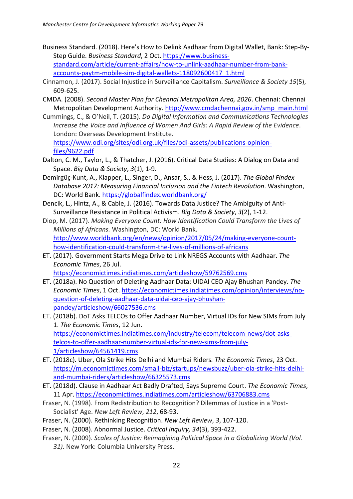- Business Standard. (2018). Here's How to Delink Aadhaar from Digital Wallet, Bank: Step-By-Step Guide. *Business Standard*, 2 Oct. [https://www.business](https://www.business-standard.com/article/current-affairs/how-to-unlink-aadhaar-number-from-bank-accounts-paytm-mobile-sim-digital-wallets-118092600417_1.html)[standard.com/article/current-affairs/how-to-unlink-aadhaar-number-from-bank](https://www.business-standard.com/article/current-affairs/how-to-unlink-aadhaar-number-from-bank-accounts-paytm-mobile-sim-digital-wallets-118092600417_1.html)[accounts-paytm-mobile-sim-digital-wallets-118092600417\\_1.html](https://www.business-standard.com/article/current-affairs/how-to-unlink-aadhaar-number-from-bank-accounts-paytm-mobile-sim-digital-wallets-118092600417_1.html)
- Cinnamon, J. (2017). Social Injustice in Surveillance Capitalism. *Surveillance & Society 15*(5), 609-625.
- CMDA. (2008). *Second Master Plan for Chennai Metropolitan Area, 2026*. Chennai: Chennai Metropolitan Development Authority. [http://www.cmdachennai.gov.in/smp\\_main.html](http://www.cmdachennai.gov.in/smp_main.html)
- Cummings, C., & O'Neil, T. (2015). *Do Digital Information and Communications Technologies Increase the Voice and Influence of Women And Girls: A Rapid Review of the Evidence*. London: Overseas Development Institute. [https://www.odi.org/sites/odi.org.uk/files/odi-assets/publications-opinion](https://www.odi.org/sites/odi.org.uk/files/odi-assets/publications-opinion-files/9622.pdf)[files/9622.pdf](https://www.odi.org/sites/odi.org.uk/files/odi-assets/publications-opinion-files/9622.pdf)
- Dalton, C. M., Taylor, L., & Thatcher, J. (2016). Critical Data Studies: A Dialog on Data and Space. *Big Data & Society*, *3*(1), 1-9.
- Demirgüç-Kunt, A., Klapper, L., Singer, D., Ansar, S., & Hess, J. (2017). *The Global Findex Database 2017: Measuring Financial Inclusion and the Fintech Revolution*. Washington, DC: World Bank. <https://globalfindex.worldbank.org/>
- Dencik, L., Hintz, A., & Cable, J. (2016). Towards Data Justice? The Ambiguity of Anti-Surveillance Resistance in Political Activism. *Big Data & Society*, *3*(2), 1-12.
- Diop, M. (2017). *Making Everyone Count: How Identification Could Transform the Lives of Millions of Africans.* Washington, DC: World Bank. [http://www.worldbank.org/en/news/opinion/2017/05/24/making-everyone-count](http://www.worldbank.org/en/news/opinion/2017/05/24/making-everyone-count-how-identification-could-transform-the-lives-of-millions-of-africans)[how-identification-could-transform-the-lives-of-millions-of-africans](http://www.worldbank.org/en/news/opinion/2017/05/24/making-everyone-count-how-identification-could-transform-the-lives-of-millions-of-africans)
- ET. (2017). Government Starts Mega Drive to Link NREGS Accounts with Aadhaar. *The Economic Times*, 26 Jul. <https://economictimes.indiatimes.com/articleshow/59762569.cms>
- ET. (2018a). No Question of Deleting Aadhaar Data: UIDAI CEO Ajay Bhushan Pandey. *The Economic Times*, 1 Oct. [https://economictimes.indiatimes.com/opinion/interviews/no](https://economictimes.indiatimes.com/opinion/interviews/no-question-of-deleting-aadhaar-data-uidai-ceo-ajay-bhushan-pandey/articleshow/66027536.cms)[question-of-deleting-aadhaar-data-uidai-ceo-ajay-bhushan-](https://economictimes.indiatimes.com/opinion/interviews/no-question-of-deleting-aadhaar-data-uidai-ceo-ajay-bhushan-pandey/articleshow/66027536.cms)
- [pandey/articleshow/66027536.cms](https://economictimes.indiatimes.com/opinion/interviews/no-question-of-deleting-aadhaar-data-uidai-ceo-ajay-bhushan-pandey/articleshow/66027536.cms) ET. (2018b). DoT Asks TELCOs to Offer Aadhaar Number, Virtual IDs for New SIMs from July 1. *The Economic Times*, 12 Jun. [https://economictimes.indiatimes.com/industry/telecom/telecom-news/dot-asks](https://economictimes.indiatimes.com/industry/telecom/telecom-news/dot-asks-telcos-to-offer-aadhaar-number-virtual-ids-for-new-sims-from-july-1/articleshow/64561419.cms)[telcos-to-offer-aadhaar-number-virtual-ids-for-new-sims-from-july-](https://economictimes.indiatimes.com/industry/telecom/telecom-news/dot-asks-telcos-to-offer-aadhaar-number-virtual-ids-for-new-sims-from-july-1/articleshow/64561419.cms)[1/articleshow/64561419.cms](https://economictimes.indiatimes.com/industry/telecom/telecom-news/dot-asks-telcos-to-offer-aadhaar-number-virtual-ids-for-new-sims-from-july-1/articleshow/64561419.cms)
- ET. (2018c). Uber, Ola Strike Hits Delhi and Mumbai Riders*. The Economic Times*, 23 Oct. [https://m.economictimes.com/small-biz/startups/newsbuzz/uber-ola-strike-hits-delhi](https://m.economictimes.com/small-biz/startups/newsbuzz/uber-ola-strike-hits-delhi-and-mumbai-riders/articleshow/66325573.cms)[and-mumbai-riders/articleshow/66325573.cms](https://m.economictimes.com/small-biz/startups/newsbuzz/uber-ola-strike-hits-delhi-and-mumbai-riders/articleshow/66325573.cms)
- ET. (2018d). Clause in Aadhaar Act Badly Drafted, Says Supreme Court. *The Economic Times*, 11 Apr. <https://economictimes.indiatimes.com/articleshow/63706883.cms>
- Fraser, N. (1998). From Redistribution to Recognition? Dilemmas of Justice in a 'Post-Socialist' Age. *New Left Review*, *212*, 68-93.
- Fraser, N. (2000). Rethinking Recognition. *New Left Review*, *3*, 107-120.
- Fraser, N. (2008). Abnormal Justice. *Critical Inquiry, 34*(3), 393-422.
- Fraser, N. (2009). *Scales of Justice: Reimagining Political Space in a Globalizing World (Vol. 31)*. New York: Columbia University Press.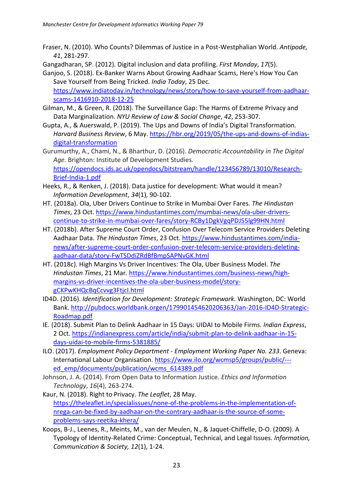Fraser, N. (2010). Who Counts? Dilemmas of Justice in a Post-Westphalian World. *Antipode, 41*, 281-297.

Gangadharan, SP. (2012). Digital inclusion and data profiling. *First Monday*, *17*(5).

- Ganjoo, S. (2018). Ex-Banker Warns About Growing Aadhaar Scams, Here's How You Can Save Yourself from Being Tricked. *India Today*, 25 Dec*.* [https://www.indiatoday.in/technology/news/story/how-to-save-yourself-from-aadhaar](https://www.indiatoday.in/technology/news/story/how-to-save-yourself-from-aadhaar-scams-1416910-2018-12-25)[scams-1416910-2018-12-25](https://www.indiatoday.in/technology/news/story/how-to-save-yourself-from-aadhaar-scams-1416910-2018-12-25)
- Gilman, M., & Green, R. (2018). The Surveillance Gap: The Harms of Extreme Privacy and Data Marginalization. *NYU Review of Law & Social Change*, *42*, 253-307.
- Gupta, A., & Auerswald, P. (2019). The Ups and Downs of India's Digital Transformation*. Harvard Business Review*, 6 May. [https://hbr.org/2019/05/the-ups-and-downs-of-indias](https://hbr.org/2019/05/the-ups-and-downs-of-indias-digital-transformation)[digital-transformation](https://hbr.org/2019/05/the-ups-and-downs-of-indias-digital-transformation)
- Gurumurthy, A., Chami, N., & Bharthur, D. (2016). *Democratic Accountability in The Digital Age.* Brighton: Institute of Development Studies. [https://opendocs.ids.ac.uk/opendocs/bitstream/handle/123456789/13010/Research-](https://opendocs.ids.ac.uk/opendocs/bitstream/handle/123456789/13010/Research-Brief-India-1.pdf)[Brief-India-1.pdf](https://opendocs.ids.ac.uk/opendocs/bitstream/handle/123456789/13010/Research-Brief-India-1.pdf)
- Heeks, R., & Renken, J. (2018). Data justice for development: What would it mean? *Information Development*, *34*(1), 90-102.
- HT. (2018a). Ola, Uber Drivers Continue to Strike in Mumbai Over Fares. *The Hindustan Times*, 23 Oct. [https://www.hindustantimes.com/mumbai-news/ola-uber-drivers](https://www.hindustantimes.com/mumbai-news/ola-uber-drivers-continue-to-strike-in-mumbai-over-fares/story-RCBy1DgkVgqPDJ55lg99HN.html)[continue-to-strike-in-mumbai-over-fares/story-RCBy1DgkVgqPDJ55lg99HN.html](https://www.hindustantimes.com/mumbai-news/ola-uber-drivers-continue-to-strike-in-mumbai-over-fares/story-RCBy1DgkVgqPDJ55lg99HN.html)
- HT. (2018b). After Supreme Court Order, Confusion Over Telecom Service Providers Deleting Aadhaar Data. *The Hindustan Times*, 23 Oct. [https://www.hindustantimes.com/india](https://www.hindustantimes.com/india-news/after-supreme-court-order-confusion-over-telecom-service-providers-deleting-aadhaar-data/story-FwTSDdiZRdBfBmpSAPNvGK.html)[news/after-supreme-court-order-confusion-over-telecom-service-providers-deleting](https://www.hindustantimes.com/india-news/after-supreme-court-order-confusion-over-telecom-service-providers-deleting-aadhaar-data/story-FwTSDdiZRdBfBmpSAPNvGK.html)[aadhaar-data/story-FwTSDdiZRdBfBmpSAPNvGK.html](https://www.hindustantimes.com/india-news/after-supreme-court-order-confusion-over-telecom-service-providers-deleting-aadhaar-data/story-FwTSDdiZRdBfBmpSAPNvGK.html)
- HT. (2018c). High Margins Vs Driver Incentives: The Ola, Uber Business Model. *The Hindustan Times*, 21 Mar*.* [https://www.hindustantimes.com/business-news/high](https://www.hindustantimes.com/business-news/high-margins-vs-driver-incentives-the-ola-uber-business-model/story-gCKPwKHQcBqCcvvg3FtjcI.html)[margins-vs-driver-incentives-the-ola-uber-business-model/story](https://www.hindustantimes.com/business-news/high-margins-vs-driver-incentives-the-ola-uber-business-model/story-gCKPwKHQcBqCcvvg3FtjcI.html)[gCKPwKHQcBqCcvvg3FtjcI.html](https://www.hindustantimes.com/business-news/high-margins-vs-driver-incentives-the-ola-uber-business-model/story-gCKPwKHQcBqCcvvg3FtjcI.html)
- ID4D. (2016). *Identification for Development: Strategic Framework.* Washington, DC: World Bank. [http://pubdocs.worldbank.orgen/179901454620206363/Jan-2016-ID4D-Strategic-](http://pubdocs.worldbank.orgen/179901454620206363/Jan-2016-ID4D-Strategic-Roadmap.pdf)[Roadmap.pdf](http://pubdocs.worldbank.orgen/179901454620206363/Jan-2016-ID4D-Strategic-Roadmap.pdf)
- IE. (2018). Submit Plan to Delink Aadhaar in 15 Days: UIDAI to Mobile Firms. *Indian Express*, 2 Oct. [https://indianexpress.com/article/india/submit-plan-to-delink-aadhaar-in-15](https://indianexpress.com/article/india/submit-plan-to-delink-aadhaar-in-15-days-uidai-to-mobile-firms-5381885/) [days-uidai-to-mobile-firms-5381885/](https://indianexpress.com/article/india/submit-plan-to-delink-aadhaar-in-15-days-uidai-to-mobile-firms-5381885/)
- ILO. (2017). *Employment Policy Department - Employment Working Paper No. 233*. Geneva: International Labour Organisation. [https://www.ilo.org/wcmsp5/groups/public/--](https://www.ilo.org/wcmsp5/groups/public/---ed_emp/documents/publication/wcms_614389.pdf) [ed\\_emp/documents/publication/wcms\\_614389.pdf](https://www.ilo.org/wcmsp5/groups/public/---ed_emp/documents/publication/wcms_614389.pdf)
- Johnson, J. A. (2014). From Open Data to Information Justice. *Ethics and Information Technology*, *16*(4), 263-274.
- Kaur, N. (2018). Right to Privacy. *The Leaflet*, 28 May*.* [https://theleaflet.in/specialissues/none-of-the-problems-in-the-implementation-of](https://theleaflet.in/specialissues/none-of-the-problems-in-the-implementation-of-nrega-can-be-fixed-by-aadhaar-on-the-contrary-aadhaar-is-the-source-of-some-problems-says-reetika-khera/)[nrega-can-be-fixed-by-aadhaar-on-the-contrary-aadhaar-is-the-source-of-some](https://theleaflet.in/specialissues/none-of-the-problems-in-the-implementation-of-nrega-can-be-fixed-by-aadhaar-on-the-contrary-aadhaar-is-the-source-of-some-problems-says-reetika-khera/)[problems-says-reetika-khera/](https://theleaflet.in/specialissues/none-of-the-problems-in-the-implementation-of-nrega-can-be-fixed-by-aadhaar-on-the-contrary-aadhaar-is-the-source-of-some-problems-says-reetika-khera/)
- Koops, B-J., Leenes, R., Meints, M., van der Meulen, N., & Jaquet-Chiffelle, D-O. (2009). A Typology of Identity-Related Crime: Conceptual, Technical, and Legal Issues. *Information, Communication & Society, 12*(1), 1-24.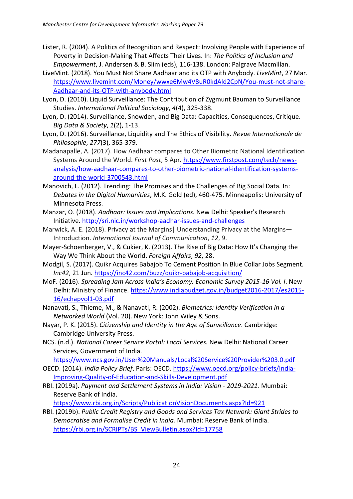- Lister, R. (2004). A Politics of Recognition and Respect: Involving People with Experience of Poverty in Decision-Making That Affects Their Lives. In: *The Politics of Inclusion and Empowerment*, J. Andersen & B. Siim (eds), 116-138. London: Palgrave Macmillan.
- LiveMint. (2018). You Must Not Share Aadhaar and its OTP with Anybody. *LiveMint*, 27 Mar. [https://www.livemint.com/Money/wwxe6Mw4V8uR0kdAld2CpN/You-must-not-share-](https://www.livemint.com/Money/wwxe6Mw4V8uR0kdAld2CpN/You-must-not-share-Aadhaar-and-its-OTP-with-anybody.html)[Aadhaar-and-its-OTP-with-anybody.html](https://www.livemint.com/Money/wwxe6Mw4V8uR0kdAld2CpN/You-must-not-share-Aadhaar-and-its-OTP-with-anybody.html)
- Lyon, D. (2010). Liquid Surveillance: The Contribution of Zygmunt Bauman to Surveillance Studies. *International Political Sociology*, *4*(4), 325-338.
- Lyon, D. (2014). Surveillance, Snowden, and Big Data: Capacities, Consequences, Critique. *Big Data & Society*, *1*(2), 1-13.
- Lyon, D. (2016). Surveillance, Liquidity and The Ethics of Visibility. *Revue Internationale de Philosophie*, *277*(3), 365-379.
- Madanapalle, A. (2017). How Aadhaar compares to Other Biometric National Identification Systems Around the World. *First Post*, 5 Apr*.* [https://www.firstpost.com/tech/news](https://www.firstpost.com/tech/news-analysis/how-aadhaar-compares-to-other-biometric-national-identification-systems-around-the-world-3700543.html)[analysis/how-aadhaar-compares-to-other-biometric-national-identification-systems](https://www.firstpost.com/tech/news-analysis/how-aadhaar-compares-to-other-biometric-national-identification-systems-around-the-world-3700543.html)[around-the-world-3700543.html](https://www.firstpost.com/tech/news-analysis/how-aadhaar-compares-to-other-biometric-national-identification-systems-around-the-world-3700543.html)
- Manovich, L. (2012). Trending: The Promises and the Challenges of Big Social Data*.* In: *Debates in the Digital Humanities*, M.K. Gold (ed), 460-475. Minneapolis: University of Minnesota Press.
- Manzar, O. (2018). *Aadhaar: Issues and Implications.* New Delhi: Speaker's Research Initiative. <http://sri.nic.in/workshop-aadhar-issues-and-challenges>
- Marwick, A. E. (2018). Privacy at the Margins| Understanding Privacy at the Margins— Introduction. *International Journal of Communication*, *12*, 9.
- Mayer-Schoenberger, V., & Cukier, K. (2013). The Rise of Big Data: How It's Changing the Way We Think About the World. *Foreign Affairs*, *92*, 28.
- Modgil, S. (2017). Quikr Acquires Babajob To Cement Position In Blue Collar Jobs Segment*. Inc42*, 21 Jun*.* <https://inc42.com/buzz/quikr-babajob-acquisition/>
- MoF. (2016). *Spreading Jam Across India's Economy. Economic Survey 2015-16 Vol. I*. New Delhi: Ministry of Finance. https://www.indiabudget.gov.in/budget2016-2017/es2015- 16/echapvol1-03.pdf
- Nanavati, S., Thieme, M., & Nanavati, R. (2002). *Biometrics: Identity Verification in a Networked World* (Vol. 20). New York: John Wiley & Sons.
- Nayar, P. K. (2015). *Citizenship and Identity in the Age of Surveillance*. Cambridge: Cambridge University Press.
- NCS. (n.d.). *National Career Service Portal: Local Services.* New Delhi: National Career Services, Government of India.

```
https://www.ncs.gov.in/User%20Manuals/Local%20Service%20Provider%203.0.pdf
```
- OECD. (2014). *India Policy Brief*. Paris: OECD. [https://www.oecd.org/policy-briefs/India-](https://www.oecd.org/policy-briefs/India-Improving-Quality-of-Education-and-Skills-Development.pdf)[Improving-Quality-of-Education-and-Skills-Development.pdf](https://www.oecd.org/policy-briefs/India-Improving-Quality-of-Education-and-Skills-Development.pdf)
- RBI. (2019a). *Payment and Settlement Systems in India: Vision - 2019-2021.* Mumbai: Reserve Bank of India.

<https://www.rbi.org.in/Scripts/PublicationVisionDocuments.aspx?Id=921>

RBI. (2019b). *Public Credit Registry and Goods and Services Tax Network: Giant Strides to Democratise and Formalise Credit in India.* Mumbai: Reserve Bank of India. [https://rbi.org.in/SCRIPTs/BS\\_ViewBulletin.aspx?Id=17758](https://rbi.org.in/SCRIPTs/BS_ViewBulletin.aspx?Id=17758)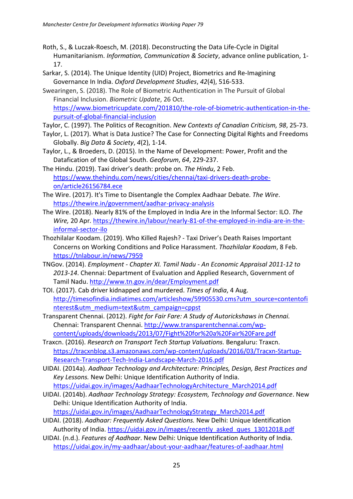- Roth, S., & Luczak-Roesch, M. (2018). Deconstructing the Data Life-Cycle in Digital Humanitarianism. *Information, Communication & Society*, advance online publication, 1- 17.
- Sarkar, S. (2014). The Unique Identity (UID) Project, Biometrics and Re-Imagining Governance In India. *Oxford Development Studies*, *42*(4), 516-533.
- Swearingen, S. (2018). The Role of Biometric Authentication in The Pursuit of Global Financial Inclusion. *Biometric Update*, 26 Oct. [https://www.biometricupdate.com/201810/the-role-of-biometric-authentication-in-the](https://www.biometricupdate.com/201810/the-role-of-biometric-authentication-in-the-pursuit-of-global-financial-inclusion)[pursuit-of-global-financial-inclusion](https://www.biometricupdate.com/201810/the-role-of-biometric-authentication-in-the-pursuit-of-global-financial-inclusion)
- Taylor, C. (1997). The Politics of Recognition. *New Contexts of Canadian Criticism, 98*, 25-73.
- Taylor, L. (2017). What is Data Justice? The Case for Connecting Digital Rights and Freedoms Globally. *Big Data & Society*, *4*(2), 1-14.
- Taylor, L., & Broeders, D. (2015). In the Name of Development: Power, Profit and the Datafication of the Global South. *Geoforum*, *64*, 229-237.
- The Hindu. (2019). Taxi driver's death: probe on. *The Hindu*, 2 Feb. [https://www.thehindu.com/news/cities/chennai/taxi-drivers-death-probe](https://www.thehindu.com/news/cities/chennai/taxi-drivers-death-probe-on/article26156784.ece)[on/article26156784.ece](https://www.thehindu.com/news/cities/chennai/taxi-drivers-death-probe-on/article26156784.ece)
- The Wire. (2017). It's Time to Disentangle the Complex Aadhaar Debate*. The Wire*. <https://thewire.in/government/aadhar-privacy-analysis>
- The Wire. (2018). Nearly 81% of the Employed in India Are in the Informal Sector: ILO. *The Wire,* 20 Apr*.* [https://thewire.in/labour/nearly-81-of-the-employed-in-india-are-in-the](https://thewire.in/labour/nearly-81-of-the-employed-in-india-are-in-the-informal-sector-ilo)[informal-sector-ilo](https://thewire.in/labour/nearly-81-of-the-employed-in-india-are-in-the-informal-sector-ilo)
- Thozhilalar Koodam. (2019). Who Killed Rajesh? Taxi Driver's Death Raises Important Concerns on Working Conditions and Police Harassment. *Thozhilalar Koodam*, 8 Feb. <https://tnlabour.in/news/7959>
- TNGov. (2014). *Employment - Chapter XI. Tamil Nadu - An Economic Appraisal 2011-12 to 2013-14*. Chennai: Department of Evaluation and Applied Research, Government of Tamil Nadu. <http://www.tn.gov.in/dear/Employment.pdf>
- TOI. (2017). Cab driver kidnapped and murdered. *Times of India*, 4 Aug. [http://timesofindia.indiatimes.com/articleshow/59905530.cms?utm\\_source=contentofi](http://timesofindia.indiatimes.com/articleshow/59905530.cms?utm_source=contentofinterest&utm_medium=text&utm_campaign=cppst) [nterest&utm\\_medium=text&utm\\_campaign=cppst](http://timesofindia.indiatimes.com/articleshow/59905530.cms?utm_source=contentofinterest&utm_medium=text&utm_campaign=cppst)
- Transparent Chennai. (2012). *Fight for Fair Fare: A Study of Autorickshaws in Chennai.* Chennai: Transparent Chennai. [http://www.transparentchennai.com/wp](http://www.transparentchennai.com/wp-content/uploads/downloads/2013/07/Fight%20for%20a%20Fair%20Fare.pdf)[content/uploads/downloads/2013/07/Fight%20for%20a%20Fair%20Fare.pdf](http://www.transparentchennai.com/wp-content/uploads/downloads/2013/07/Fight%20for%20a%20Fair%20Fare.pdf)
- Traxcn. (2016). *Research on Transport Tech Startup Valuations.* Bengaluru: Traxcn. [https://tracxnblog.s3.amazonaws.com/wp-content/uploads/2016/03/Tracxn-Startup-](https://tracxnblog.s3.amazonaws.com/wp-content/uploads/2016/03/Tracxn-Startup-Research-Transport-Tech-India-Landscape-March-2016.pdf)[Research-Transport-Tech-India-Landscape-March-2016.pdf](https://tracxnblog.s3.amazonaws.com/wp-content/uploads/2016/03/Tracxn-Startup-Research-Transport-Tech-India-Landscape-March-2016.pdf)
- UIDAI. (2014a). *Aadhaar Technology and Architecture: Principles, Design, Best Practices and Key Lessons.* New Delhi: Unique Identification Authority of India. [https://uidai.gov.in/images/AadhaarTechnologyArchitecture\\_March2014.pdf](https://uidai.gov.in/images/AadhaarTechnologyArchitecture_March2014.pdf)
- UIDAI. (2014b). *Aadhaar Technology Strategy: Ecosystem, Technology and Governance*. New Delhi: Unique Identification Authority of India. [https://uidai.gov.in/images/AadhaarTechnologyStrategy\\_March2014.pdf](https://uidai.gov.in/images/AadhaarTechnologyStrategy_March2014.pdf)
- UIDAI. (2018). *Aadhaar: Frequently Asked Questions.* New Delhi: Unique Identification Authority of India. [https://uidai.gov.in/images/recently\\_asked\\_ques\\_13012018.pdf](https://uidai.gov.in/images/recently_asked_ques_13012018.pdf)
- UIDAI. (n.d.). *Features of Aadhaar*. New Delhi: Unique Identification Authority of India. <https://uidai.gov.in/my-aadhaar/about-your-aadhaar/features-of-aadhaar.html>